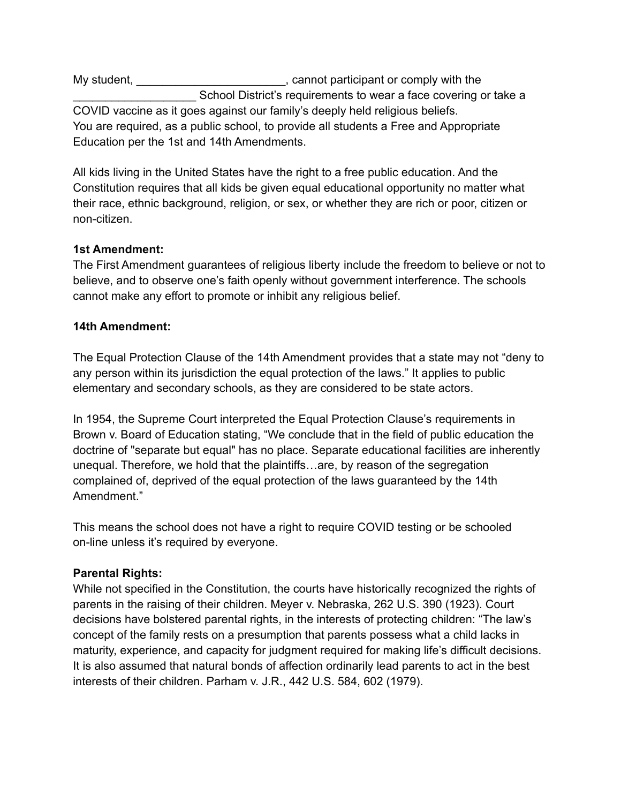My student, My student,  $\blacksquare$  , cannot participant or comply with the School District's requirements to wear a face covering or take a COVID vaccine as it goes against our family's deeply held religious beliefs. You are required, as a public school, to provide all students a Free and Appropriate Education per the 1st and 14th Amendments.

All kids living in the United States have the right to a free public education. And the Constitution requires that all kids be given equal educational opportunity no matter what their race, ethnic background, religion, or sex, or whether they are rich or poor, citizen or non-citizen.

# **1st Amendment:**

The First Amendment guarantees of religious liberty include the freedom to believe or not to believe, and to observe one's faith openly without government interference. The schools cannot make any effort to promote or inhibit any religious belief.

# **14th Amendment:**

The Equal Protection Clause of the 14th Amendment provides that a state may not "deny to any person within its jurisdiction the equal protection of the laws." It applies to public elementary and secondary schools, as they are considered to be state actors.

In 1954, the Supreme Court interpreted the Equal Protection Clause's requirements in Brown v. Board of Education stating, "We conclude that in the field of public education the doctrine of "separate but equal" has no place. Separate educational facilities are inherently unequal. Therefore, we hold that the plaintiffs…are, by reason of the segregation complained of, deprived of the equal protection of the laws guaranteed by the 14th Amendment."

This means the school does not have a right to require COVID testing or be schooled on-line unless it's required by everyone.

### **Parental Rights:**

While not specified in the Constitution, the courts have historically recognized the rights of parents in the raising of their children. Meyer v. Nebraska, 262 U.S. 390 (1923). Court decisions have bolstered parental rights, in the interests of protecting children: "The law's concept of the family rests on a presumption that parents possess what a child lacks in maturity, experience, and capacity for judgment required for making life's difficult decisions. It is also assumed that natural bonds of affection ordinarily lead parents to act in the best interests of their children. Parham v. J.R., 442 U.S. 584, 602 (1979).